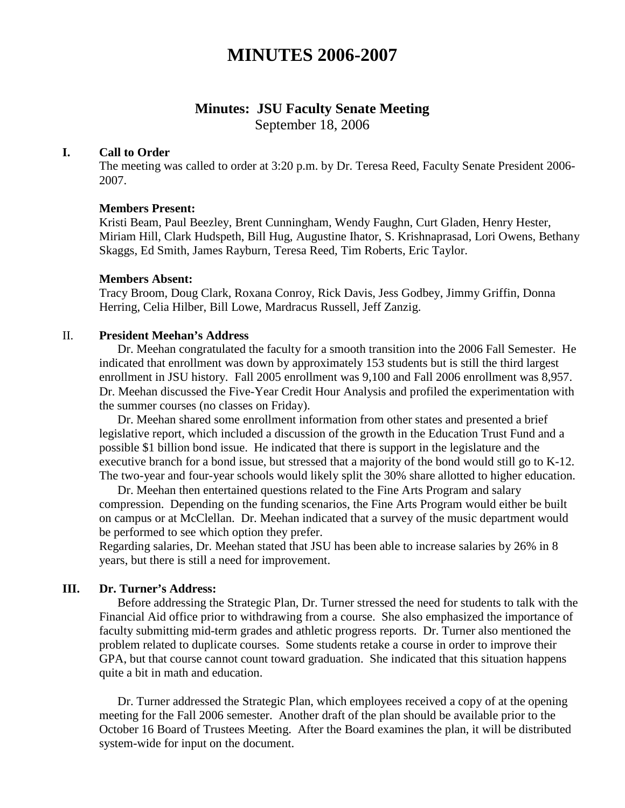# **MINUTES 2006-2007**

# **Minutes: JSU Faculty Senate Meeting**

September 18, 2006

#### **I. Call to Order**

The meeting was called to order at 3:20 p.m. by Dr. Teresa Reed, Faculty Senate President 2006- 2007.

#### **Members Present:**

Kristi Beam, Paul Beezley, Brent Cunningham, Wendy Faughn, Curt Gladen, Henry Hester, Miriam Hill, Clark Hudspeth, Bill Hug, Augustine Ihator, S. Krishnaprasad, Lori Owens, Bethany Skaggs, Ed Smith, James Rayburn, Teresa Reed, Tim Roberts, Eric Taylor.

#### **Members Absent:**

Tracy Broom, Doug Clark, Roxana Conroy, Rick Davis, Jess Godbey, Jimmy Griffin, Donna Herring, Celia Hilber, Bill Lowe, Mardracus Russell, Jeff Zanzig.

#### II. **President Meehan's Address**

Dr. Meehan congratulated the faculty for a smooth transition into the 2006 Fall Semester. He indicated that enrollment was down by approximately 153 students but is still the third largest enrollment in JSU history. Fall 2005 enrollment was 9,100 and Fall 2006 enrollment was 8,957. Dr. Meehan discussed the Five-Year Credit Hour Analysis and profiled the experimentation with the summer courses (no classes on Friday).

Dr. Meehan shared some enrollment information from other states and presented a brief legislative report, which included a discussion of the growth in the Education Trust Fund and a possible \$1 billion bond issue. He indicated that there is support in the legislature and the executive branch for a bond issue, but stressed that a majority of the bond would still go to K-12. The two-year and four-year schools would likely split the 30% share allotted to higher education.

Dr. Meehan then entertained questions related to the Fine Arts Program and salary compression. Depending on the funding scenarios, the Fine Arts Program would either be built on campus or at McClellan. Dr. Meehan indicated that a survey of the music department would be performed to see which option they prefer.

Regarding salaries, Dr. Meehan stated that JSU has been able to increase salaries by 26% in 8 years, but there is still a need for improvement.

#### **III. Dr. Turner's Address:**

Before addressing the Strategic Plan, Dr. Turner stressed the need for students to talk with the Financial Aid office prior to withdrawing from a course. She also emphasized the importance of faculty submitting mid-term grades and athletic progress reports. Dr. Turner also mentioned the problem related to duplicate courses. Some students retake a course in order to improve their GPA, but that course cannot count toward graduation. She indicated that this situation happens quite a bit in math and education.

Dr. Turner addressed the Strategic Plan, which employees received a copy of at the opening meeting for the Fall 2006 semester. Another draft of the plan should be available prior to the October 16 Board of Trustees Meeting. After the Board examines the plan, it will be distributed system-wide for input on the document.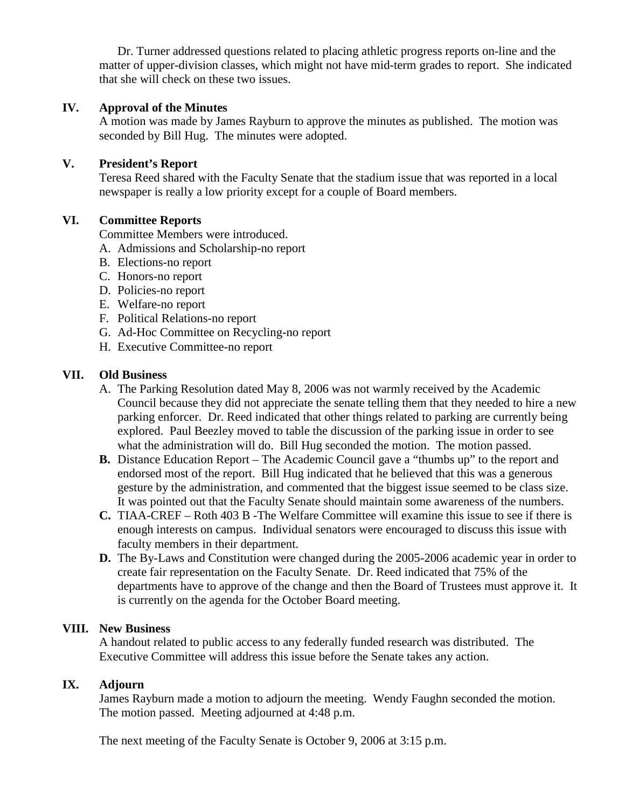Dr. Turner addressed questions related to placing athletic progress reports on-line and the matter of upper-division classes, which might not have mid-term grades to report. She indicated that she will check on these two issues.

### **IV. Approval of the Minutes**

A motion was made by James Rayburn to approve the minutes as published. The motion was seconded by Bill Hug. The minutes were adopted.

### **V. President's Report**

Teresa Reed shared with the Faculty Senate that the stadium issue that was reported in a local newspaper is really a low priority except for a couple of Board members.

#### **VI. Committee Reports**

Committee Members were introduced.

- A. Admissions and Scholarship-no report
- B. Elections-no report
- C. Honors-no report
- D. Policies-no report
- E. Welfare-no report
- F. Political Relations-no report
- G. Ad-Hoc Committee on Recycling-no report
- H. Executive Committee-no report

### **VII. Old Business**

- A. The Parking Resolution dated May 8, 2006 was not warmly received by the Academic Council because they did not appreciate the senate telling them that they needed to hire a new parking enforcer. Dr. Reed indicated that other things related to parking are currently being explored. Paul Beezley moved to table the discussion of the parking issue in order to see what the administration will do. Bill Hug seconded the motion. The motion passed.
- **B.** Distance Education Report The Academic Council gave a "thumbs up" to the report and endorsed most of the report. Bill Hug indicated that he believed that this was a generous gesture by the administration, and commented that the biggest issue seemed to be class size. It was pointed out that the Faculty Senate should maintain some awareness of the numbers.
- **C.** TIAA-CREF Roth 403 B -The Welfare Committee will examine this issue to see if there is enough interests on campus. Individual senators were encouraged to discuss this issue with faculty members in their department.
- **D.** The By-Laws and Constitution were changed during the 2005-2006 academic year in order to create fair representation on the Faculty Senate. Dr. Reed indicated that 75% of the departments have to approve of the change and then the Board of Trustees must approve it. It is currently on the agenda for the October Board meeting.

#### **VIII. New Business**

A handout related to public access to any federally funded research was distributed. The Executive Committee will address this issue before the Senate takes any action.

## **IX. Adjourn**

James Rayburn made a motion to adjourn the meeting. Wendy Faughn seconded the motion. The motion passed. Meeting adjourned at 4:48 p.m.

The next meeting of the Faculty Senate is October 9, 2006 at 3:15 p.m.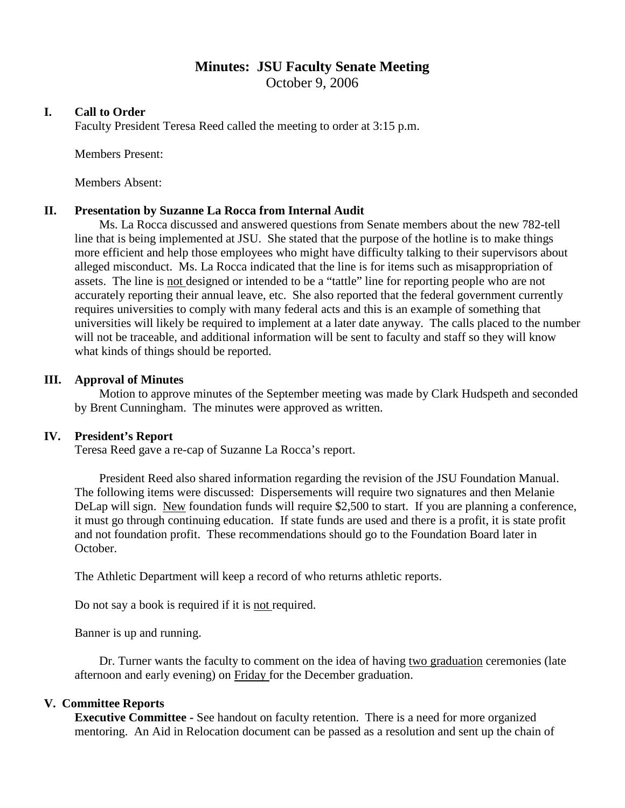# **Minutes: JSU Faculty Senate Meeting**

October 9, 2006

### **I. Call to Order**

Faculty President Teresa Reed called the meeting to order at 3:15 p.m.

Members Present:

Members Absent:

#### **II. Presentation by Suzanne La Rocca from Internal Audit**

Ms. La Rocca discussed and answered questions from Senate members about the new 782-tell line that is being implemented at JSU. She stated that the purpose of the hotline is to make things more efficient and help those employees who might have difficulty talking to their supervisors about alleged misconduct. Ms. La Rocca indicated that the line is for items such as misappropriation of assets. The line is not designed or intended to be a "tattle" line for reporting people who are not accurately reporting their annual leave, etc. She also reported that the federal government currently requires universities to comply with many federal acts and this is an example of something that universities will likely be required to implement at a later date anyway. The calls placed to the number will not be traceable, and additional information will be sent to faculty and staff so they will know what kinds of things should be reported.

### **III. Approval of Minutes**

Motion to approve minutes of the September meeting was made by Clark Hudspeth and seconded by Brent Cunningham. The minutes were approved as written.

#### **IV. President's Report**

Teresa Reed gave a re-cap of Suzanne La Rocca's report.

President Reed also shared information regarding the revision of the JSU Foundation Manual. The following items were discussed: Dispersements will require two signatures and then Melanie DeLap will sign. New foundation funds will require \$2,500 to start. If you are planning a conference, it must go through continuing education. If state funds are used and there is a profit, it is state profit and not foundation profit. These recommendations should go to the Foundation Board later in October.

The Athletic Department will keep a record of who returns athletic reports.

Do not say a book is required if it is not required.

Banner is up and running.

Dr. Turner wants the faculty to comment on the idea of having two graduation ceremonies (late afternoon and early evening) on Friday for the December graduation.

#### **V. Committee Reports**

**Executive Committee -** See handout on faculty retention. There is a need for more organized mentoring. An Aid in Relocation document can be passed as a resolution and sent up the chain of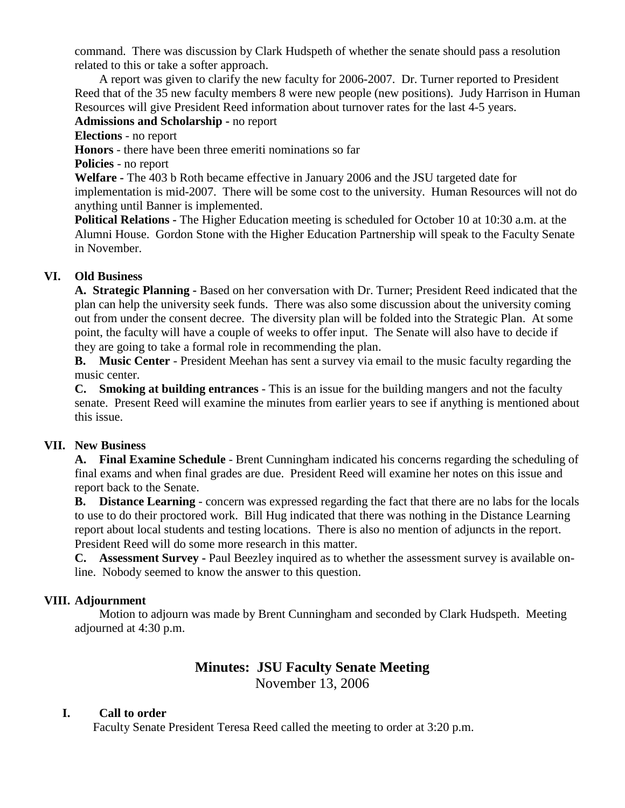command. There was discussion by Clark Hudspeth of whether the senate should pass a resolution related to this or take a softer approach.

A report was given to clarify the new faculty for 2006-2007. Dr. Turner reported to President Reed that of the 35 new faculty members 8 were new people (new positions). Judy Harrison in Human Resources will give President Reed information about turnover rates for the last 4-5 years.

### **Admissions and Scholarship -** no report

**Elections** - no report

**Honors** - there have been three emeriti nominations so far

**Policies** - no report

**Welfare -** The 403 b Roth became effective in January 2006 and the JSU targeted date for implementation is mid-2007. There will be some cost to the university. Human Resources will not do anything until Banner is implemented.

**Political Relations -** The Higher Education meeting is scheduled for October 10 at 10:30 a.m. at the Alumni House. Gordon Stone with the Higher Education Partnership will speak to the Faculty Senate in November.

## **VI. Old Business**

**A. Strategic Planning -** Based on her conversation with Dr. Turner; President Reed indicated that the plan can help the university seek funds. There was also some discussion about the university coming out from under the consent decree. The diversity plan will be folded into the Strategic Plan. At some point, the faculty will have a couple of weeks to offer input. The Senate will also have to decide if they are going to take a formal role in recommending the plan.

**B. Music Center** - President Meehan has sent a survey via email to the music faculty regarding the music center.

**C. Smoking at building entrances** - This is an issue for the building mangers and not the faculty senate. Present Reed will examine the minutes from earlier years to see if anything is mentioned about this issue.

## **VII. New Business**

**A. Final Examine Schedule** - Brent Cunningham indicated his concerns regarding the scheduling of final exams and when final grades are due. President Reed will examine her notes on this issue and report back to the Senate.

**B. Distance Learning** - concern was expressed regarding the fact that there are no labs for the locals to use to do their proctored work. Bill Hug indicated that there was nothing in the Distance Learning report about local students and testing locations. There is also no mention of adjuncts in the report. President Reed will do some more research in this matter.

**C. Assessment Survey -** Paul Beezley inquired as to whether the assessment survey is available online. Nobody seemed to know the answer to this question.

## **VIII. Adjournment**

Motion to adjourn was made by Brent Cunningham and seconded by Clark Hudspeth. Meeting adjourned at 4:30 p.m.

# **Minutes: JSU Faculty Senate Meeting** November 13, 2006

## **I. Call to order**

Faculty Senate President Teresa Reed called the meeting to order at 3:20 p.m.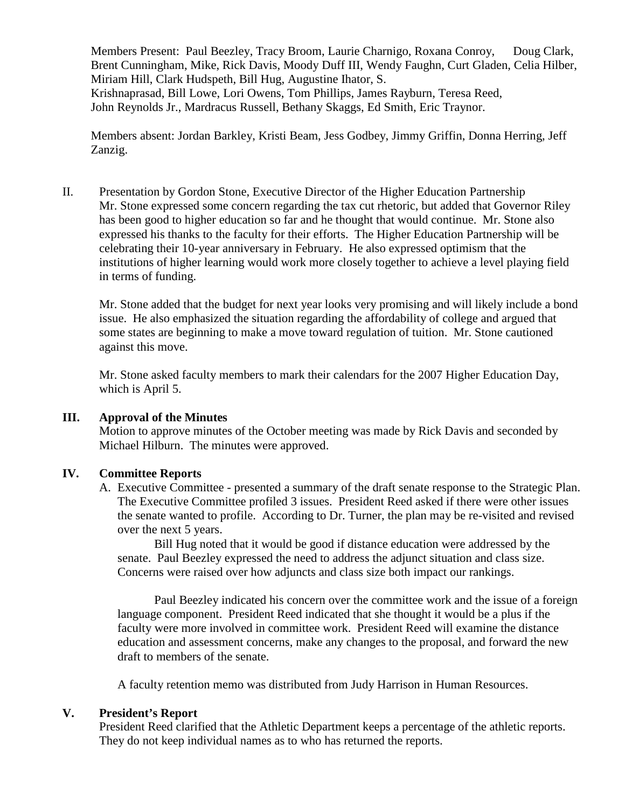Members Present: Paul Beezley, Tracy Broom, Laurie Charnigo, Roxana Conroy, Doug Clark, Brent Cunningham, Mike, Rick Davis, Moody Duff III, Wendy Faughn, Curt Gladen, Celia Hilber, Miriam Hill, Clark Hudspeth, Bill Hug, Augustine Ihator, S. Krishnaprasad, Bill Lowe, Lori Owens, Tom Phillips, James Rayburn, Teresa Reed, John Reynolds Jr., Mardracus Russell, Bethany Skaggs, Ed Smith, Eric Traynor.

Members absent: Jordan Barkley, Kristi Beam, Jess Godbey, Jimmy Griffin, Donna Herring, Jeff Zanzig.

II. Presentation by Gordon Stone, Executive Director of the Higher Education Partnership Mr. Stone expressed some concern regarding the tax cut rhetoric, but added that Governor Riley has been good to higher education so far and he thought that would continue. Mr. Stone also expressed his thanks to the faculty for their efforts. The Higher Education Partnership will be celebrating their 10-year anniversary in February. He also expressed optimism that the institutions of higher learning would work more closely together to achieve a level playing field in terms of funding.

Mr. Stone added that the budget for next year looks very promising and will likely include a bond issue. He also emphasized the situation regarding the affordability of college and argued that some states are beginning to make a move toward regulation of tuition. Mr. Stone cautioned against this move.

Mr. Stone asked faculty members to mark their calendars for the 2007 Higher Education Day, which is April 5.

#### **III. Approval of the Minutes**

Motion to approve minutes of the October meeting was made by Rick Davis and seconded by Michael Hilburn. The minutes were approved.

#### **IV. Committee Reports**

A. Executive Committee - presented a summary of the draft senate response to the Strategic Plan. The Executive Committee profiled 3 issues. President Reed asked if there were other issues the senate wanted to profile. According to Dr. Turner, the plan may be re-visited and revised over the next 5 years.

Bill Hug noted that it would be good if distance education were addressed by the senate. Paul Beezley expressed the need to address the adjunct situation and class size. Concerns were raised over how adjuncts and class size both impact our rankings.

Paul Beezley indicated his concern over the committee work and the issue of a foreign language component. President Reed indicated that she thought it would be a plus if the faculty were more involved in committee work. President Reed will examine the distance education and assessment concerns, make any changes to the proposal, and forward the new draft to members of the senate.

A faculty retention memo was distributed from Judy Harrison in Human Resources.

#### **V. President's Report**

President Reed clarified that the Athletic Department keeps a percentage of the athletic reports. They do not keep individual names as to who has returned the reports.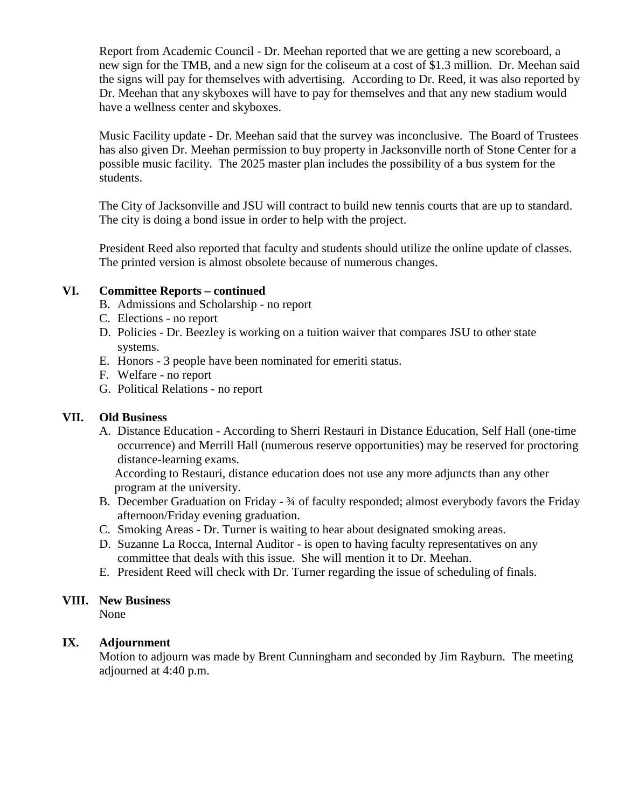Report from Academic Council - Dr. Meehan reported that we are getting a new scoreboard, a new sign for the TMB, and a new sign for the coliseum at a cost of \$1.3 million. Dr. Meehan said the signs will pay for themselves with advertising. According to Dr. Reed, it was also reported by Dr. Meehan that any skyboxes will have to pay for themselves and that any new stadium would have a wellness center and skyboxes.

Music Facility update - Dr. Meehan said that the survey was inconclusive. The Board of Trustees has also given Dr. Meehan permission to buy property in Jacksonville north of Stone Center for a possible music facility. The 2025 master plan includes the possibility of a bus system for the students.

The City of Jacksonville and JSU will contract to build new tennis courts that are up to standard. The city is doing a bond issue in order to help with the project.

President Reed also reported that faculty and students should utilize the online update of classes. The printed version is almost obsolete because of numerous changes.

### **VI. Committee Reports – continued**

- B. Admissions and Scholarship no report
- C. Elections no report
- D. Policies Dr. Beezley is working on a tuition waiver that compares JSU to other state systems.
- E. Honors 3 people have been nominated for emeriti status.
- F. Welfare no report
- G. Political Relations no report

#### **VII. Old Business**

A. Distance Education - According to Sherri Restauri in Distance Education, Self Hall (one-time occurrence) and Merrill Hall (numerous reserve opportunities) may be reserved for proctoring distance-learning exams.

According to Restauri, distance education does not use any more adjuncts than any other program at the university.

- B. December Graduation on Friday ¾ of faculty responded; almost everybody favors the Friday afternoon/Friday evening graduation.
- C. Smoking Areas Dr. Turner is waiting to hear about designated smoking areas.
- D. Suzanne La Rocca, Internal Auditor is open to having faculty representatives on any committee that deals with this issue. She will mention it to Dr. Meehan.
- E. President Reed will check with Dr. Turner regarding the issue of scheduling of finals.

#### **VIII. New Business**

None

#### **IX. Adjournment**

Motion to adjourn was made by Brent Cunningham and seconded by Jim Rayburn. The meeting adjourned at 4:40 p.m.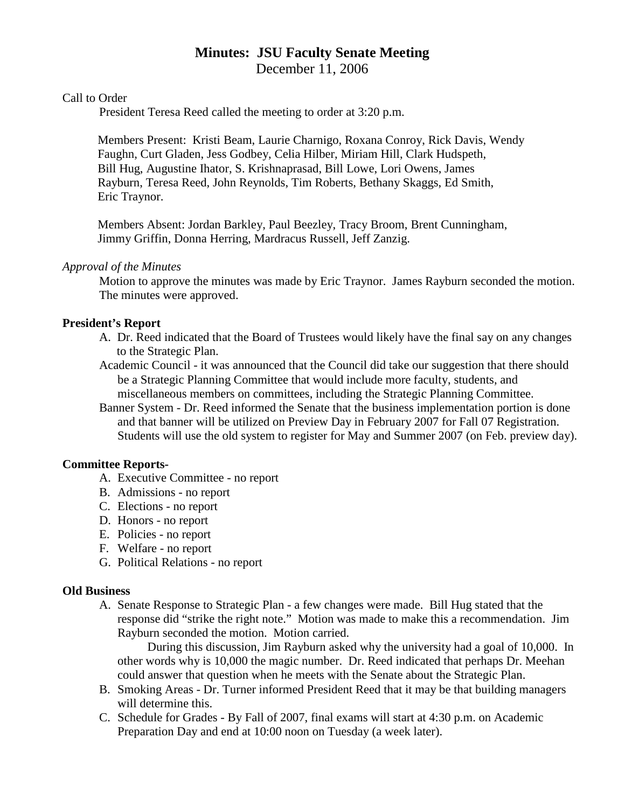# **Minutes: JSU Faculty Senate Meeting** December 11, 2006

### Call to Order

President Teresa Reed called the meeting to order at 3:20 p.m.

Members Present: Kristi Beam, Laurie Charnigo, Roxana Conroy, Rick Davis, Wendy Faughn, Curt Gladen, Jess Godbey, Celia Hilber, Miriam Hill, Clark Hudspeth, Bill Hug, Augustine Ihator, S. Krishnaprasad, Bill Lowe, Lori Owens, James Rayburn, Teresa Reed, John Reynolds, Tim Roberts, Bethany Skaggs, Ed Smith, Eric Traynor.

Members Absent: Jordan Barkley, Paul Beezley, Tracy Broom, Brent Cunningham, Jimmy Griffin, Donna Herring, Mardracus Russell, Jeff Zanzig.

#### *Approval of the Minutes*

Motion to approve the minutes was made by Eric Traynor. James Rayburn seconded the motion. The minutes were approved.

#### **President's Report**

- A. Dr. Reed indicated that the Board of Trustees would likely have the final say on any changes to the Strategic Plan.
- Academic Council it was announced that the Council did take our suggestion that there should be a Strategic Planning Committee that would include more faculty, students, and miscellaneous members on committees, including the Strategic Planning Committee.
- Banner System Dr. Reed informed the Senate that the business implementation portion is done and that banner will be utilized on Preview Day in February 2007 for Fall 07 Registration. Students will use the old system to register for May and Summer 2007 (on Feb. preview day).

#### **Committee Reports-**

- A. Executive Committee no report
- B. Admissions no report
- C. Elections no report
- D. Honors no report
- E. Policies no report
- F. Welfare no report
- G. Political Relations no report

#### **Old Business**

A. Senate Response to Strategic Plan - a few changes were made. Bill Hug stated that the response did "strike the right note." Motion was made to make this a recommendation. Jim Rayburn seconded the motion. Motion carried.

During this discussion, Jim Rayburn asked why the university had a goal of 10,000. In other words why is 10,000 the magic number. Dr. Reed indicated that perhaps Dr. Meehan could answer that question when he meets with the Senate about the Strategic Plan.

- B. Smoking Areas Dr. Turner informed President Reed that it may be that building managers will determine this.
- C. Schedule for Grades By Fall of 2007, final exams will start at 4:30 p.m. on Academic Preparation Day and end at 10:00 noon on Tuesday (a week later).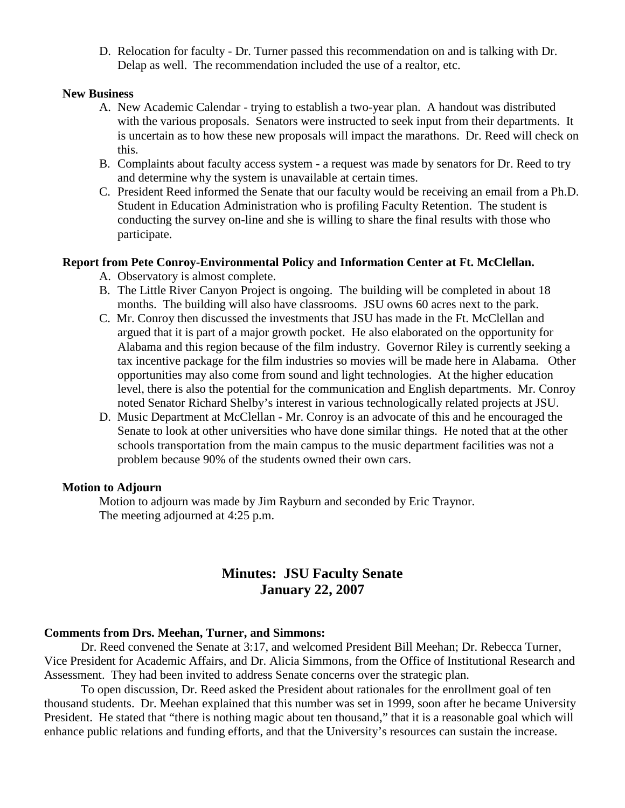D. Relocation for faculty - Dr. Turner passed this recommendation on and is talking with Dr. Delap as well. The recommendation included the use of a realtor, etc.

#### **New Business**

- A. New Academic Calendar trying to establish a two-year plan. A handout was distributed with the various proposals. Senators were instructed to seek input from their departments. It is uncertain as to how these new proposals will impact the marathons. Dr. Reed will check on this.
- B. Complaints about faculty access system a request was made by senators for Dr. Reed to try and determine why the system is unavailable at certain times.
- C. President Reed informed the Senate that our faculty would be receiving an email from a Ph.D. Student in Education Administration who is profiling Faculty Retention. The student is conducting the survey on-line and she is willing to share the final results with those who participate.

#### **Report from Pete Conroy-Environmental Policy and Information Center at Ft. McClellan.**

- A. Observatory is almost complete.
- B. The Little River Canyon Project is ongoing. The building will be completed in about 18 months. The building will also have classrooms. JSU owns 60 acres next to the park.
- C. Mr. Conroy then discussed the investments that JSU has made in the Ft. McClellan and argued that it is part of a major growth pocket. He also elaborated on the opportunity for Alabama and this region because of the film industry. Governor Riley is currently seeking a tax incentive package for the film industries so movies will be made here in Alabama. Other opportunities may also come from sound and light technologies. At the higher education level, there is also the potential for the communication and English departments. Mr. Conroy noted Senator Richard Shelby's interest in various technologically related projects at JSU.
- D. Music Department at McClellan Mr. Conroy is an advocate of this and he encouraged the Senate to look at other universities who have done similar things. He noted that at the other schools transportation from the main campus to the music department facilities was not a problem because 90% of the students owned their own cars.

#### **Motion to Adjourn**

Motion to adjourn was made by Jim Rayburn and seconded by Eric Traynor. The meeting adjourned at 4:25 p.m.

# **Minutes: JSU Faculty Senate January 22, 2007**

#### **Comments from Drs. Meehan, Turner, and Simmons:**

Dr. Reed convened the Senate at 3:17, and welcomed President Bill Meehan; Dr. Rebecca Turner, Vice President for Academic Affairs, and Dr. Alicia Simmons, from the Office of Institutional Research and Assessment. They had been invited to address Senate concerns over the strategic plan.

To open discussion, Dr. Reed asked the President about rationales for the enrollment goal of ten thousand students. Dr. Meehan explained that this number was set in 1999, soon after he became University President. He stated that "there is nothing magic about ten thousand," that it is a reasonable goal which will enhance public relations and funding efforts, and that the University's resources can sustain the increase.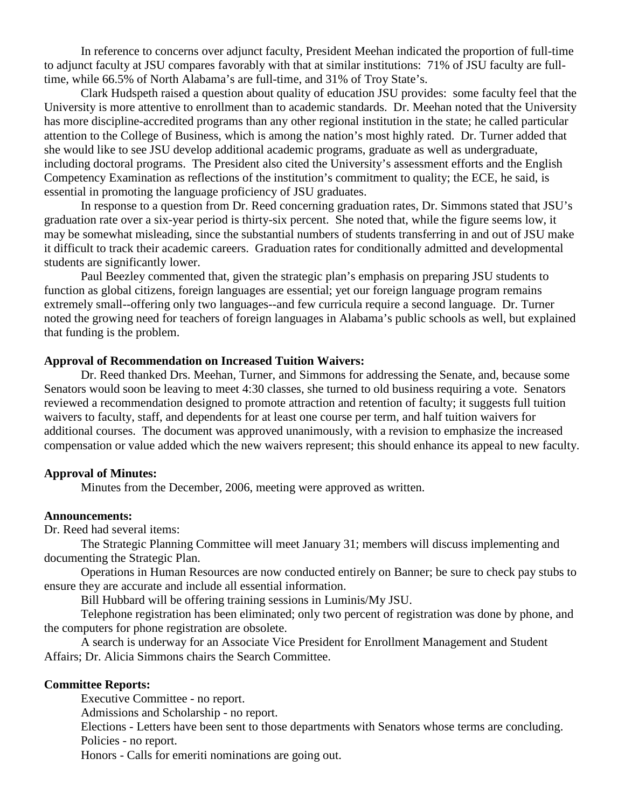In reference to concerns over adjunct faculty, President Meehan indicated the proportion of full-time to adjunct faculty at JSU compares favorably with that at similar institutions: 71% of JSU faculty are fulltime, while 66.5% of North Alabama's are full-time, and 31% of Troy State's.

Clark Hudspeth raised a question about quality of education JSU provides: some faculty feel that the University is more attentive to enrollment than to academic standards. Dr. Meehan noted that the University has more discipline-accredited programs than any other regional institution in the state; he called particular attention to the College of Business, which is among the nation's most highly rated. Dr. Turner added that she would like to see JSU develop additional academic programs, graduate as well as undergraduate, including doctoral programs. The President also cited the University's assessment efforts and the English Competency Examination as reflections of the institution's commitment to quality; the ECE, he said, is essential in promoting the language proficiency of JSU graduates.

In response to a question from Dr. Reed concerning graduation rates, Dr. Simmons stated that JSU's graduation rate over a six-year period is thirty-six percent. She noted that, while the figure seems low, it may be somewhat misleading, since the substantial numbers of students transferring in and out of JSU make it difficult to track their academic careers. Graduation rates for conditionally admitted and developmental students are significantly lower.

Paul Beezley commented that, given the strategic plan's emphasis on preparing JSU students to function as global citizens, foreign languages are essential; yet our foreign language program remains extremely small--offering only two languages--and few curricula require a second language. Dr. Turner noted the growing need for teachers of foreign languages in Alabama's public schools as well, but explained that funding is the problem.

#### **Approval of Recommendation on Increased Tuition Waivers:**

Dr. Reed thanked Drs. Meehan, Turner, and Simmons for addressing the Senate, and, because some Senators would soon be leaving to meet 4:30 classes, she turned to old business requiring a vote. Senators reviewed a recommendation designed to promote attraction and retention of faculty; it suggests full tuition waivers to faculty, staff, and dependents for at least one course per term, and half tuition waivers for additional courses. The document was approved unanimously, with a revision to emphasize the increased compensation or value added which the new waivers represent; this should enhance its appeal to new faculty.

#### **Approval of Minutes:**

Minutes from the December, 2006, meeting were approved as written.

#### **Announcements:**

Dr. Reed had several items:

The Strategic Planning Committee will meet January 31; members will discuss implementing and documenting the Strategic Plan.

Operations in Human Resources are now conducted entirely on Banner; be sure to check pay stubs to ensure they are accurate and include all essential information.

Bill Hubbard will be offering training sessions in Luminis/My JSU.

Telephone registration has been eliminated; only two percent of registration was done by phone, and the computers for phone registration are obsolete.

A search is underway for an Associate Vice President for Enrollment Management and Student Affairs; Dr. Alicia Simmons chairs the Search Committee.

#### **Committee Reports:**

Executive Committee - no report.

Admissions and Scholarship - no report.

Elections - Letters have been sent to those departments with Senators whose terms are concluding. Policies - no report.

Honors - Calls for emeriti nominations are going out.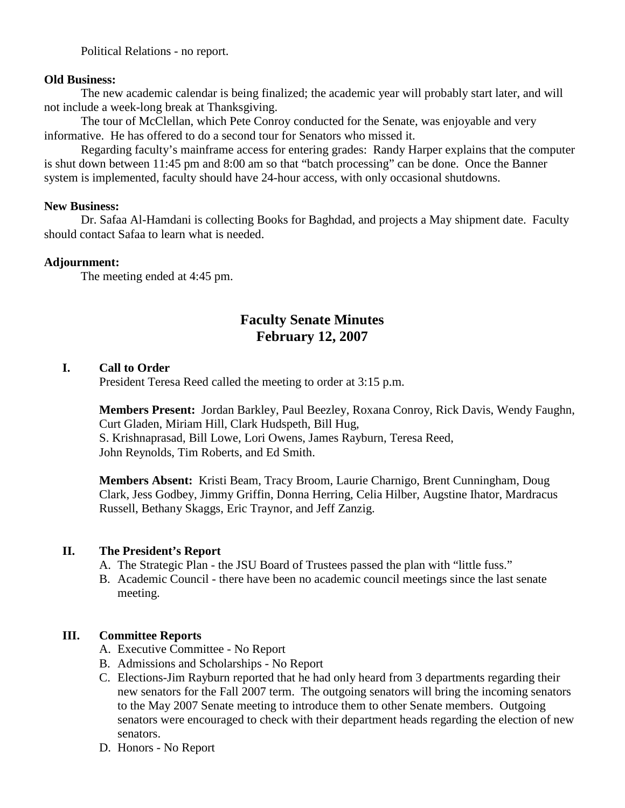Political Relations - no report.

### **Old Business:**

The new academic calendar is being finalized; the academic year will probably start later, and will not include a week-long break at Thanksgiving.

The tour of McClellan, which Pete Conroy conducted for the Senate, was enjoyable and very informative. He has offered to do a second tour for Senators who missed it.

Regarding faculty's mainframe access for entering grades: Randy Harper explains that the computer is shut down between 11:45 pm and 8:00 am so that "batch processing" can be done. Once the Banner system is implemented, faculty should have 24-hour access, with only occasional shutdowns.

### **New Business:**

Dr. Safaa Al-Hamdani is collecting Books for Baghdad, and projects a May shipment date. Faculty should contact Safaa to learn what is needed.

### **Adjournment:**

The meeting ended at 4:45 pm.

# **Faculty Senate Minutes February 12, 2007**

## **I. Call to Order**

President Teresa Reed called the meeting to order at 3:15 p.m.

**Members Present:** Jordan Barkley, Paul Beezley, Roxana Conroy, Rick Davis, Wendy Faughn, Curt Gladen, Miriam Hill, Clark Hudspeth, Bill Hug, S. Krishnaprasad, Bill Lowe, Lori Owens, James Rayburn, Teresa Reed, John Reynolds, Tim Roberts, and Ed Smith.

**Members Absent:** Kristi Beam, Tracy Broom, Laurie Charnigo, Brent Cunningham, Doug Clark, Jess Godbey, Jimmy Griffin, Donna Herring, Celia Hilber, Augstine Ihator, Mardracus Russell, Bethany Skaggs, Eric Traynor, and Jeff Zanzig.

## **II. The President's Report**

- A. The Strategic Plan the JSU Board of Trustees passed the plan with "little fuss."
- B. Academic Council there have been no academic council meetings since the last senate meeting.

## **III. Committee Reports**

- A. Executive Committee No Report
- B. Admissions and Scholarships No Report
- C. Elections-Jim Rayburn reported that he had only heard from 3 departments regarding their new senators for the Fall 2007 term. The outgoing senators will bring the incoming senators to the May 2007 Senate meeting to introduce them to other Senate members. Outgoing senators were encouraged to check with their department heads regarding the election of new senators.
- D. Honors No Report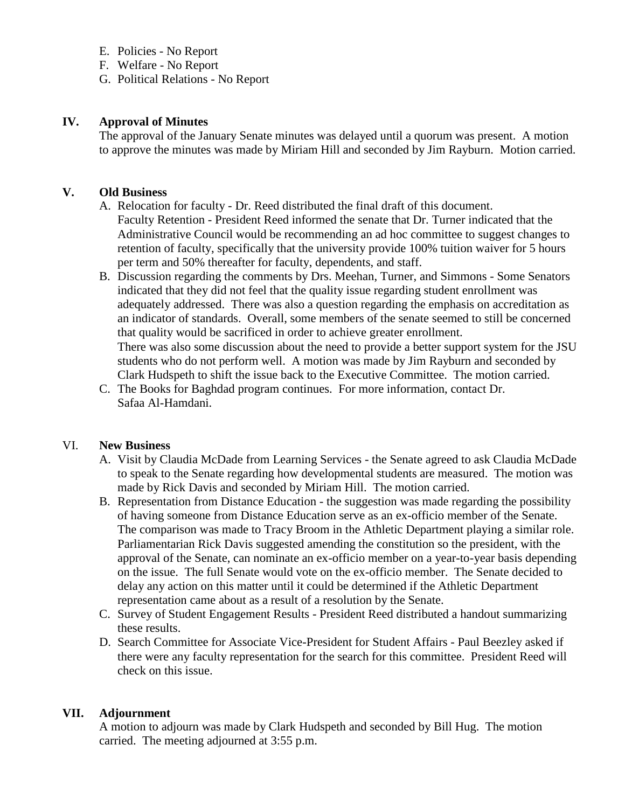- E. Policies No Report
- F. Welfare No Report
- G. Political Relations No Report

# **IV. Approval of Minutes**

The approval of the January Senate minutes was delayed until a quorum was present. A motion to approve the minutes was made by Miriam Hill and seconded by Jim Rayburn. Motion carried.

# **V. Old Business**

- A. Relocation for faculty Dr. Reed distributed the final draft of this document.
	- Faculty Retention President Reed informed the senate that Dr. Turner indicated that the Administrative Council would be recommending an ad hoc committee to suggest changes to retention of faculty, specifically that the university provide 100% tuition waiver for 5 hours per term and 50% thereafter for faculty, dependents, and staff.
- B. Discussion regarding the comments by Drs. Meehan, Turner, and Simmons Some Senators indicated that they did not feel that the quality issue regarding student enrollment was adequately addressed. There was also a question regarding the emphasis on accreditation as an indicator of standards. Overall, some members of the senate seemed to still be concerned that quality would be sacrificed in order to achieve greater enrollment. There was also some discussion about the need to provide a better support system for the JSU students who do not perform well. A motion was made by Jim Rayburn and seconded by Clark Hudspeth to shift the issue back to the Executive Committee. The motion carried.
- C. The Books for Baghdad program continues. For more information, contact Dr. Safaa Al-Hamdani.

# VI. **New Business**

- A. Visit by Claudia McDade from Learning Services the Senate agreed to ask Claudia McDade to speak to the Senate regarding how developmental students are measured. The motion was made by Rick Davis and seconded by Miriam Hill. The motion carried.
- B. Representation from Distance Education the suggestion was made regarding the possibility of having someone from Distance Education serve as an ex-officio member of the Senate. The comparison was made to Tracy Broom in the Athletic Department playing a similar role. Parliamentarian Rick Davis suggested amending the constitution so the president, with the approval of the Senate, can nominate an ex-officio member on a year-to-year basis depending on the issue. The full Senate would vote on the ex-officio member. The Senate decided to delay any action on this matter until it could be determined if the Athletic Department representation came about as a result of a resolution by the Senate.
- C. Survey of Student Engagement Results President Reed distributed a handout summarizing these results.
- D. Search Committee for Associate Vice-President for Student Affairs Paul Beezley asked if there were any faculty representation for the search for this committee. President Reed will check on this issue.

# **VII. Adjournment**

A motion to adjourn was made by Clark Hudspeth and seconded by Bill Hug. The motion carried. The meeting adjourned at 3:55 p.m.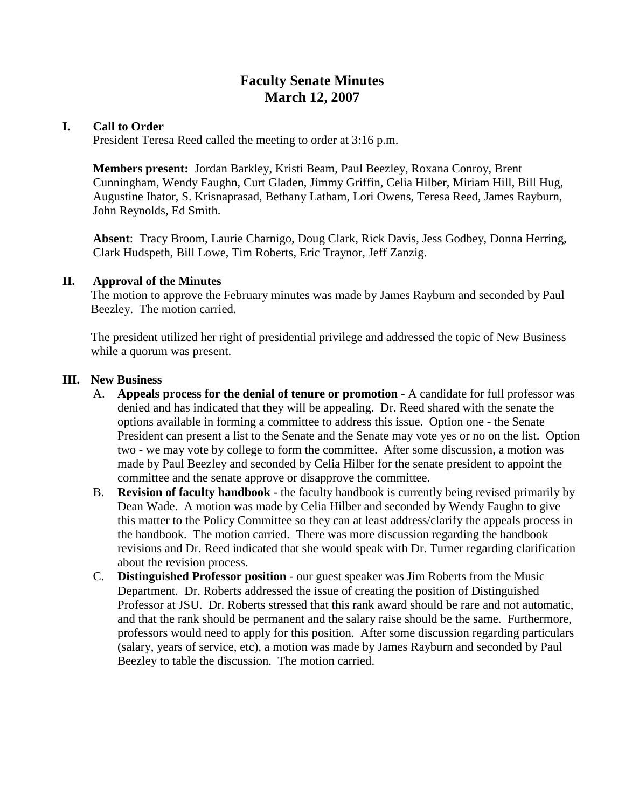# **Faculty Senate Minutes March 12, 2007**

### **I. Call to Order**

President Teresa Reed called the meeting to order at 3:16 p.m.

**Members present:** Jordan Barkley, Kristi Beam, Paul Beezley, Roxana Conroy, Brent Cunningham, Wendy Faughn, Curt Gladen, Jimmy Griffin, Celia Hilber, Miriam Hill, Bill Hug, Augustine Ihator, S. Krisnaprasad, Bethany Latham, Lori Owens, Teresa Reed, James Rayburn, John Reynolds, Ed Smith.

**Absent**: Tracy Broom, Laurie Charnigo, Doug Clark, Rick Davis, Jess Godbey, Donna Herring, Clark Hudspeth, Bill Lowe, Tim Roberts, Eric Traynor, Jeff Zanzig.

#### **II. Approval of the Minutes**

The motion to approve the February minutes was made by James Rayburn and seconded by Paul Beezley. The motion carried.

The president utilized her right of presidential privilege and addressed the topic of New Business while a quorum was present.

### **III. New Business**

- A. **Appeals process for the denial of tenure or promotion**  A candidate for full professor was denied and has indicated that they will be appealing. Dr. Reed shared with the senate the options available in forming a committee to address this issue. Option one - the Senate President can present a list to the Senate and the Senate may vote yes or no on the list. Option two - we may vote by college to form the committee. After some discussion, a motion was made by Paul Beezley and seconded by Celia Hilber for the senate president to appoint the committee and the senate approve or disapprove the committee.
- B. **Revision of faculty handbook** the faculty handbook is currently being revised primarily by Dean Wade. A motion was made by Celia Hilber and seconded by Wendy Faughn to give this matter to the Policy Committee so they can at least address/clarify the appeals process in the handbook. The motion carried. There was more discussion regarding the handbook revisions and Dr. Reed indicated that she would speak with Dr. Turner regarding clarification about the revision process.
- C. **Distinguished Professor position** our guest speaker was Jim Roberts from the Music Department. Dr. Roberts addressed the issue of creating the position of Distinguished Professor at JSU. Dr. Roberts stressed that this rank award should be rare and not automatic, and that the rank should be permanent and the salary raise should be the same. Furthermore, professors would need to apply for this position. After some discussion regarding particulars (salary, years of service, etc), a motion was made by James Rayburn and seconded by Paul Beezley to table the discussion. The motion carried.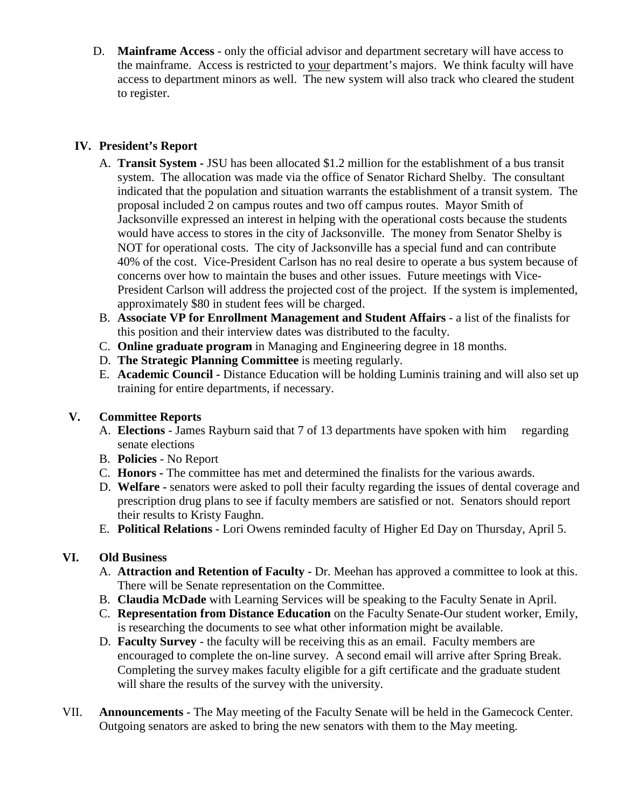D. **Mainframe Access** - only the official advisor and department secretary will have access to the mainframe. Access is restricted to your department's majors. We think faculty will have access to department minors as well. The new system will also track who cleared the student to register.

# **IV. President's Report**

- A. **Transit System -** JSU has been allocated \$1.2 million for the establishment of a bus transit system. The allocation was made via the office of Senator Richard Shelby. The consultant indicated that the population and situation warrants the establishment of a transit system. The proposal included 2 on campus routes and two off campus routes. Mayor Smith of Jacksonville expressed an interest in helping with the operational costs because the students would have access to stores in the city of Jacksonville. The money from Senator Shelby is NOT for operational costs. The city of Jacksonville has a special fund and can contribute 40% of the cost. Vice-President Carlson has no real desire to operate a bus system because of concerns over how to maintain the buses and other issues. Future meetings with Vice-President Carlson will address the projected cost of the project. If the system is implemented, approximately \$80 in student fees will be charged.
- B. **Associate VP for Enrollment Management and Student Affairs**  a list of the finalists for this position and their interview dates was distributed to the faculty.
- C. **Online graduate program** in Managing and Engineering degree in 18 months.
- D. **The Strategic Planning Committee** is meeting regularly.
- E. **Academic Council -** Distance Education will be holding Luminis training and will also set up training for entire departments, if necessary.

## **V. Committee Reports**

- A. **Elections**  James Rayburn said that 7 of 13 departments have spoken with him regarding senate elections
- B. **Policies**  No Report
- C. **Honors -** The committee has met and determined the finalists for the various awards.
- D. **Welfare -** senators were asked to poll their faculty regarding the issues of dental coverage and prescription drug plans to see if faculty members are satisfied or not. Senators should report their results to Kristy Faughn.
- E. **Political Relations**  Lori Owens reminded faculty of Higher Ed Day on Thursday, April 5.

# **VI. Old Business**

- A. **Attraction and Retention of Faculty -** Dr. Meehan has approved a committee to look at this. There will be Senate representation on the Committee.
- B. **Claudia McDade** with Learning Services will be speaking to the Faculty Senate in April.
- C. **Representation from Distance Education** on the Faculty Senate-Our student worker, Emily, is researching the documents to see what other information might be available.
- D. **Faculty Survey**  the faculty will be receiving this as an email. Faculty members are encouraged to complete the on-line survey. A second email will arrive after Spring Break. Completing the survey makes faculty eligible for a gift certificate and the graduate student will share the results of the survey with the university.
- VII. **Announcements**  The May meeting of the Faculty Senate will be held in the Gamecock Center. Outgoing senators are asked to bring the new senators with them to the May meeting.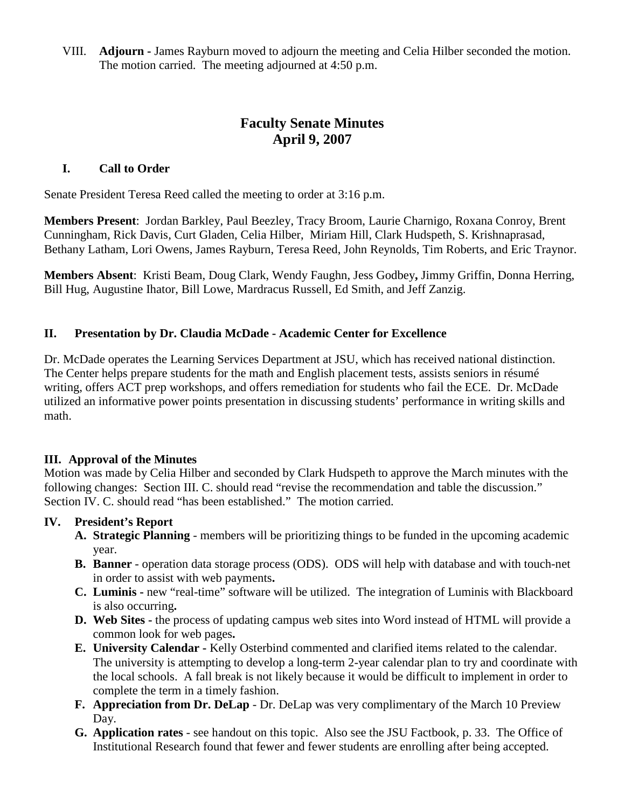VIII. **Adjourn -** James Rayburn moved to adjourn the meeting and Celia Hilber seconded the motion. The motion carried. The meeting adjourned at 4:50 p.m.

# **Faculty Senate Minutes April 9, 2007**

### **I. Call to Order**

Senate President Teresa Reed called the meeting to order at 3:16 p.m.

**Members Present**: Jordan Barkley, Paul Beezley, Tracy Broom, Laurie Charnigo, Roxana Conroy, Brent Cunningham, Rick Davis, Curt Gladen, Celia Hilber, Miriam Hill, Clark Hudspeth, S. Krishnaprasad, Bethany Latham, Lori Owens, James Rayburn, Teresa Reed, John Reynolds, Tim Roberts, and Eric Traynor.

**Members Absent**: Kristi Beam, Doug Clark, Wendy Faughn, Jess Godbey**,** Jimmy Griffin, Donna Herring, Bill Hug, Augustine Ihator, Bill Lowe, Mardracus Russell, Ed Smith, and Jeff Zanzig.

## **II. Presentation by Dr. Claudia McDade - Academic Center for Excellence**

Dr. McDade operates the Learning Services Department at JSU, which has received national distinction. The Center helps prepare students for the math and English placement tests, assists seniors in résumé writing, offers ACT prep workshops, and offers remediation for students who fail the ECE. Dr. McDade utilized an informative power points presentation in discussing students' performance in writing skills and math.

#### **III. Approval of the Minutes**

Motion was made by Celia Hilber and seconded by Clark Hudspeth to approve the March minutes with the following changes: Section III. C. should read "revise the recommendation and table the discussion." Section IV. C. should read "has been established." The motion carried.

#### **IV. President's Report**

- **A. Strategic Planning** members will be prioritizing things to be funded in the upcoming academic year.
- **B. Banner** operation data storage process (ODS). ODS will help with database and with touch-net in order to assist with web payments**.**
- **C. Luminis -** new "real-time" software will be utilized. The integration of Luminis with Blackboard is also occurring**.**
- **D. Web Sites -** the process of updating campus web sites into Word instead of HTML will provide a common look for web pages**.**
- **E. University Calendar -** Kelly Osterbind commented and clarified items related to the calendar. The university is attempting to develop a long-term 2-year calendar plan to try and coordinate with the local schools. A fall break is not likely because it would be difficult to implement in order to complete the term in a timely fashion.
- **F. Appreciation from Dr. DeLap**  Dr. DeLap was very complimentary of the March 10 Preview Day.
- **G. Application rates**  see handout on this topic. Also see the JSU Factbook, p. 33. The Office of Institutional Research found that fewer and fewer students are enrolling after being accepted.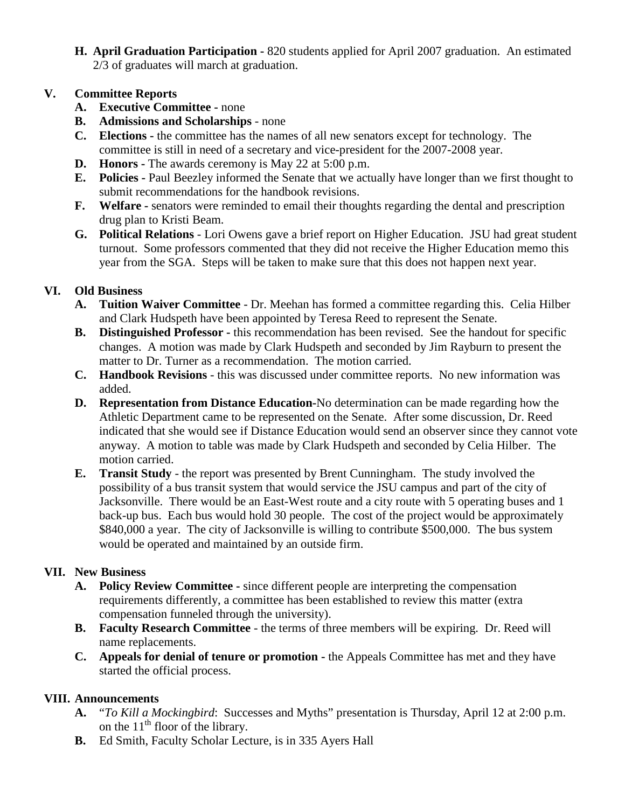**H. April Graduation Participation -** 820 students applied for April 2007 graduation. An estimated 2/3 of graduates will march at graduation.

# **V. Committee Reports**

- **A. Executive Committee -** none
- **B. Admissions and Scholarships**  none
- **C. Elections -** the committee has the names of all new senators except for technology. The committee is still in need of a secretary and vice-president for the 2007-2008 year.
- **D. Honors -** The awards ceremony is May 22 at 5:00 p.m.
- **E. Policies -** Paul Beezley informed the Senate that we actually have longer than we first thought to submit recommendations for the handbook revisions.
- **F. Welfare -** senators were reminded to email their thoughts regarding the dental and prescription drug plan to Kristi Beam.
- **G. Political Relations**  Lori Owens gave a brief report on Higher Education. JSU had great student turnout. Some professors commented that they did not receive the Higher Education memo this year from the SGA. Steps will be taken to make sure that this does not happen next year.

# **VI. Old Business**

- **A. Tuition Waiver Committee**  Dr. Meehan has formed a committee regarding this. Celia Hilber and Clark Hudspeth have been appointed by Teresa Reed to represent the Senate.
- **B. Distinguished Professor -** this recommendation has been revised. See the handout for specific changes. A motion was made by Clark Hudspeth and seconded by Jim Rayburn to present the matter to Dr. Turner as a recommendation. The motion carried.
- **C. Handbook Revisions**  this was discussed under committee reports. No new information was added.
- **D. Representation from Distance Education-**No determination can be made regarding how the Athletic Department came to be represented on the Senate. After some discussion, Dr. Reed indicated that she would see if Distance Education would send an observer since they cannot vote anyway. A motion to table was made by Clark Hudspeth and seconded by Celia Hilber. The motion carried.
- **E. Transit Study**  the report was presented by Brent Cunningham. The study involved the possibility of a bus transit system that would service the JSU campus and part of the city of Jacksonville. There would be an East-West route and a city route with 5 operating buses and 1 back-up bus. Each bus would hold 30 people. The cost of the project would be approximately \$840,000 a year. The city of Jacksonville is willing to contribute \$500,000. The bus system would be operated and maintained by an outside firm.

# **VII. New Business**

- **A. Policy Review Committee -** since different people are interpreting the compensation requirements differently, a committee has been established to review this matter (extra compensation funneled through the university).
- **B. Faculty Research Committee**  the terms of three members will be expiring. Dr. Reed will name replacements.
- **C. Appeals for denial of tenure or promotion -** the Appeals Committee has met and they have started the official process.

# **VIII. Announcements**

- **A.** "*To Kill a Mockingbird*: Successes and Myths" presentation is Thursday, April 12 at 2:00 p.m. on the  $11<sup>th</sup>$  floor of the library.
- **B.** Ed Smith, Faculty Scholar Lecture, is in 335 Ayers Hall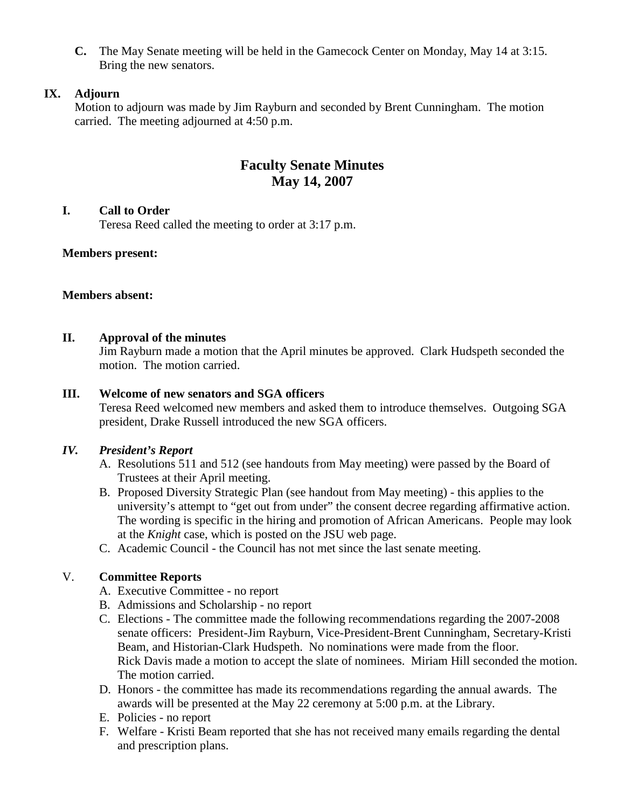**C.** The May Senate meeting will be held in the Gamecock Center on Monday, May 14 at 3:15. Bring the new senators.

# **IX. Adjourn**

Motion to adjourn was made by Jim Rayburn and seconded by Brent Cunningham. The motion carried. The meeting adjourned at 4:50 p.m.

# **Faculty Senate Minutes May 14, 2007**

### **I. Call to Order**

Teresa Reed called the meeting to order at 3:17 p.m.

## **Members present:**

### **Members absent:**

## **II. Approval of the minutes**

Jim Rayburn made a motion that the April minutes be approved. Clark Hudspeth seconded the motion. The motion carried.

### **III. Welcome of new senators and SGA officers**

Teresa Reed welcomed new members and asked them to introduce themselves.Outgoing SGA president, Drake Russell introduced the new SGA officers.

## *IV. President's Report*

- A. Resolutions 511 and 512 (see handouts from May meeting) were passed by the Board of Trustees at their April meeting.
- B. Proposed Diversity Strategic Plan (see handout from May meeting) this applies to the university's attempt to "get out from under" the consent decree regarding affirmative action. The wording is specific in the hiring and promotion of African Americans. People may look at the *Knight* case, which is posted on the JSU web page.
- C. Academic Council the Council has not met since the last senate meeting.

## V. **Committee Reports**

- A. Executive Committee no report
- B. Admissions and Scholarship no report
- C. Elections The committee made the following recommendations regarding the 2007-2008 senate officers: President-Jim Rayburn, Vice-President-Brent Cunningham, Secretary-Kristi Beam, and Historian-Clark Hudspeth. No nominations were made from the floor. Rick Davis made a motion to accept the slate of nominees. Miriam Hill seconded the motion. The motion carried.
- D. Honors the committee has made its recommendations regarding the annual awards. The awards will be presented at the May 22 ceremony at 5:00 p.m. at the Library.
- E. Policies no report
- F. Welfare Kristi Beam reported that she has not received many emails regarding the dental and prescription plans.